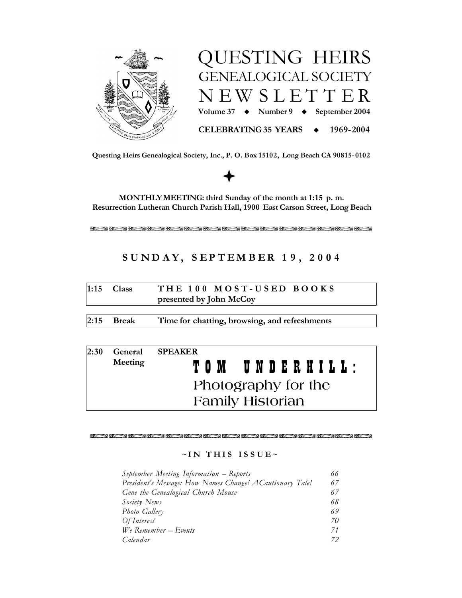



Questing Heirs Genealogical Society, Inc., P. O. Box 15102, Long Beach CA 90815-0102

MONTHLY MEETING: third Sunday of the month at 1:15 p.m. Resurrection Lutheran Church Parish Hall, 1900 East Carson Street, Long Beach

不断的人 医不断不断不能 医发育 医第二脑下 医不能不断的 医第三脑下结节 医白细胞

# SUNDAY, SEPTEMBER 19, 2004

|                         | $1:15$ Class | THE 100 MOST-USED BOOKS |  |  |  |
|-------------------------|--------------|-------------------------|--|--|--|
| presented by John McCoy |              |                         |  |  |  |

 $2:15$ **Break** Time for chatting, browsing, and refreshments

| 2:30                | General                 | <b>SPEAKER</b> |  |
|---------------------|-------------------------|----------------|--|
|                     | Meeting                 | TOM UNDERHILL: |  |
| Photography for the |                         |                |  |
|                     | <b>Family Historian</b> |                |  |

不少离开 医不少原子 医医心房内 医不少医心室的 医阴道 医心房的 多不少的 医第一型不少

# $\sim$ IN THIS ISSUE $\sim$

| September Meeting Information - Reports                   | 66 |
|-----------------------------------------------------------|----|
| President's Message: How Names Change! A Cautionary Tale! | 67 |
| Gene the Genealogical Church Mouse                        | 67 |
| Society News                                              | 68 |
| Photo Gallery                                             | 69 |
| Of Interest                                               | 70 |
| $We$ Remember – Events                                    | 71 |
| Calendar                                                  | 72 |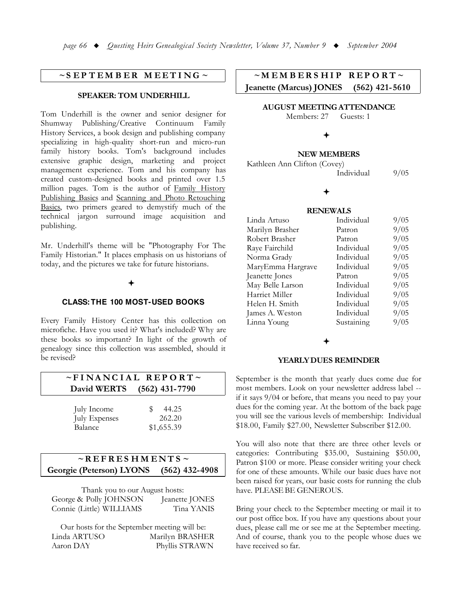# $\sim$ SEPTEMBER MEETING  $\sim$

### **SPEAKER: TOM UNDERHILL**

Tom Underhill is the owner and senior designer for Shumway Publishing/Creative Continuum Family History Services, a book design and publishing company specializing in high-quality short-run and micro-run family history books. Tom's background includes extensive graphic design, marketing and project management experience. Tom and his company has created custom-designed books and printed over 1.5 million pages. Tom is the author of Family History Publishing Basics and Scanning and Photo Retouching Basics, two primers geared to demystify much of the technical jargon surround image acquisition and publishing.

Mr. Underhill's theme will be "Photography For The Family Historian." It places emphasis on us historians of today, and the pictures we take for future historians.

### **CLASS: THE 100 MOST-USED BOOKS**

Every Family History Center has this collection on microfiche. Have you used it? What's included? Why are these books so important? In light of the growth of genealogy since this collection was assembled, should it be revised?

| $\sim$ FINANCIAL REPORT $\sim$ |                  |  |  |
|--------------------------------|------------------|--|--|
| David WERTS                    | $(562)$ 431-7790 |  |  |
|                                |                  |  |  |
| July Income                    | 44.25            |  |  |
| <b>July Expenses</b>           | 262.20           |  |  |
| Balance                        | \$1,655.39       |  |  |

### $\sim$ REFRESHMENTS $\sim$ Georgie (Peterson) LYONS  $(562)$  432-4908

| Thank you to our August hosts: |                |  |  |
|--------------------------------|----------------|--|--|
| George & Polly JOHNSON         | Jeanette JONES |  |  |
| Connie (Little) WILLIAMS       | Tina YANIS     |  |  |

Our hosts for the September meeting will be: Linda ARTUSO Marilyn BRASHER Aaron DAY Phyllis STRAWN

### $~\sim$ MEMBERSHIP  $REPORT \sim$ **Jeanette (Marcus) JONES**  $(562)$  421-5610

**AUGUST MEETING ATTENDANCE** 

Members: 27 Guests: 1

### **NEW MEMBERS**

| Kathleen Ann Clifton (Covey) |            |      |
|------------------------------|------------|------|
|                              | Individual | 9/05 |

### **RENEWALS**

| Linda Artuso      | Individual | 9/05 |
|-------------------|------------|------|
| Marilyn Brasher   | Patron     | 9/05 |
| Robert Brasher    | Patron     | 9/05 |
| Raye Fairchild    | Individual | 9/05 |
| Norma Grady       | Individual | 9/05 |
| MaryEmma Hargrave | Individual | 9/05 |
| Jeanette Jones    | Patron     | 9/05 |
| May Belle Larson  | Individual | 9/05 |
| Harriet Miller    | Individual | 9/05 |
| Helen H. Smith    | Individual | 9/05 |
| James A. Weston   | Individual | 9/05 |
| Linna Young       | Sustaining | 9/05 |

### **YEARLY DUES REMINDER**

September is the month that yearly dues come due for most members. Look on your newsletter address label -if it says 9/04 or before, that means you need to pay your dues for the coming year. At the bottom of the back page you will see the various levels of membership: Individual \$18.00, Family \$27.00, Newsletter Subscriber \$12.00.

You will also note that there are three other levels or categories: Contributing \$35.00, Sustaining \$50.00, Patron \$100 or more. Please consider writing your check for one of these amounts. While our basic dues have not been raised for years, our basic costs for running the club have. PLEASE BE GENEROUS.

Bring your check to the September meeting or mail it to our post office box. If you have any questions about your dues, please call me or see me at the September meeting. And of course, thank you to the people whose dues we have received so far.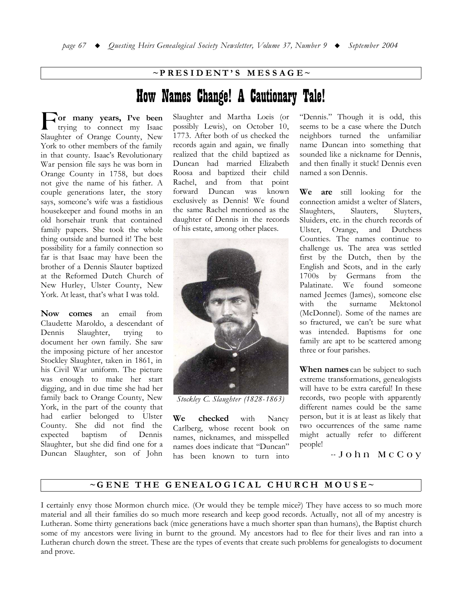# $\sim$ PRESIDENT'S MESSAGE $\sim$

# How Names Change! A Cautionary Tale!

or many years, I've been trying to connect my Isaac Slaughter of Orange County, New York to other members of the family in that county. Isaac's Revolutionary War pension file says he was born in Orange County in 1758, but does not give the name of his father. A couple generations later, the story says, someone's wife was a fastidious housekeeper and found moths in an old horsehair trunk that contained family papers. She took the whole thing outside and burned it! The best possibility for a family connection so far is that Isaac may have been the brother of a Dennis Slauter baptized at the Reformed Dutch Church of New Hurley, Ulster County, New York. At least, that's what I was told.

Now comes an email from Claudette Maroldo, a descendant of Dennis Slaughter, trying  $t_{\Omega}$ document her own family. She saw the imposing picture of her ancestor Stockley Slaughter, taken in 1861, in his Civil War uniform. The picture was enough to make her start digging, and in due time she had her family back to Orange County, New York, in the part of the county that had earlier belonged to Ulster County. She did not find the  $% \left( \left( \mathcal{A},\mathcal{A}\right) \right) =\left( \mathcal{A},\mathcal{A}\right)$  of Dennis expected baptism Slaughter, but she did find one for a Duncan Slaughter, son of John

Slaughter and Martha Loeis (or possibly Lewis), on October 10, 1773. After both of us checked the records again and again, we finally realized that the child baptized as Duncan had married Elizabeth Roosa and baptized their child Rachel, and from that point forward Duncan was known exclusively as Dennis! We found the same Rachel mentioned as the daughter of Dennis in the records of his estate, among other places.



Stockley C. Slaughter (1828-1863)

We checked with Nancy Carlberg, whose recent book on names, nicknames, and misspelled names does indicate that "Duncan" has been known to turn into "Dennis." Though it is odd, this seems to be a case where the Dutch neighbors turned the unfamiliar name Duncan into something that sounded like a nickname for Dennis, and then finally it stuck! Dennis even named a son Dennis.

We are still looking for the connection amidst a welter of Slaters, Slaughters, Slauters. Sluyters, Sluiders, etc. in the church records of Ulster, Orange, and Dutchess Counties. The names continue to challenge us. The area was settled first by the Dutch, then by the English and Scots, and in the early  $1700s - by$ Germans from the Palatinate. We found someone named Jeemes (James), someone else the surname Mektonol with (McDonnel). Some of the names are so fractured, we can't be sure what was intended. Baptisms for one family are apt to be scattered among three or four parishes.

When names can be subject to such extreme transformations, genealogists will have to be extra careful! In these records, two people with apparently different names could be the same person, but it is at least as likely that two occurrences of the same name might actually refer to different people!

-John McCoy

# ~GENE THE GENEALOGICAL CHURCH MOUSE~

I certainly envy those Mormon church mice. (Or would they be temple mice?) They have access to so much more material and all their families do so much more research and keep good records. Actually, not all of my ancestry is Lutheran. Some thirty generations back (mice generations have a much shorter span than humans), the Baptist church some of my ancestors were living in burnt to the ground. My ancestors had to flee for their lives and ran into a Lutheran church down the street. These are the types of events that create such problems for genealogists to document and prove.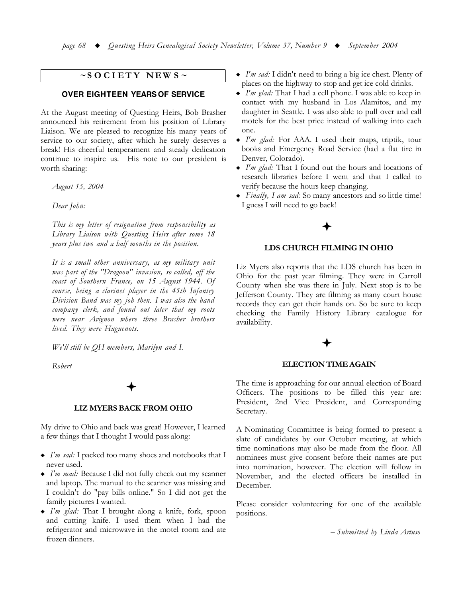# $\sim$ SOCIETY NEWS $\sim$

### **OVER EIGHTEEN YEARS OF SERVICE**

At the August meeting of Questing Heirs, Bob Brasher announced his retirement from his position of Library Liaison. We are pleased to recognize his many years of service to our society, after which he surely deserves a break! His cheerful temperament and steady dedication continue to inspire us. His note to our president is worth sharing:

August 15, 2004

Dear John:

This is my letter of resignation from responsibility as Library Liaison with Questing Heirs after some 18 years plus two and a half months in the position.

It is a small other anniversary, as my military unit was part of the "Dragoon" invasion, so called, off the coast of Southern France, on 15 August 1944. Of course, being a clarinet player in the 45th Infantry Division Band was my job then. I was also the band company clerk, and found out later that my roots were near Avignon where three Brasher brothers lived. They were Huguenots.

We'll still be QH members, Marilyn and I.

Robert

### **LIZ MYERS BACK FROM OHIO**

My drive to Ohio and back was great! However, I learned a few things that I thought I would pass along:

- I'm sad: I packed too many shoes and notebooks that I never used.
- I'm mad: Because I did not fully check out my scanner and laptop. The manual to the scanner was missing and I couldn't do "pay bills online." So I did not get the family pictures I wanted.
- I'm glad: That I brought along a knife, fork, spoon and cutting knife. I used them when I had the refrigerator and microwave in the motel room and ate frozen dinners.
- I'm sad: I didn't need to bring a big ice chest. Plenty of places on the highway to stop and get ice cold drinks.
- $\bullet$  I'm glad: That I had a cell phone. I was able to keep in contact with my husband in Los Alamitos, and my daughter in Seattle. I was also able to pull over and call motels for the best price instead of walking into each one
- $\bullet$  I'm glad: For AAA. I used their maps, triptik, tour books and Emergency Road Service (had a flat tire in Denver, Colorado).
- I'm glad: That I found out the hours and locations of research libraries before I went and that I called to verify because the hours keep changing.
- Finally, I am sad: So many ancestors and so little time! I guess I will need to go back!

### LDS CHURCH FILMING IN OHIO

Liz Myers also reports that the LDS church has been in Ohio for the past year filming. They were in Carroll County when she was there in July. Next stop is to be Jefferson County. They are filming as many court house records they can get their hands on. So be sure to keep checking the Family History Library catalogue for availability.

### **ELECTION TIME AGAIN**

The time is approaching for our annual election of Board Officers. The positions to be filled this year are: President, 2nd Vice President, and Corresponding Secretary.

A Nominating Committee is being formed to present a slate of candidates by our October meeting, at which time nominations may also be made from the floor. All nominees must give consent before their names are put into nomination, however. The election will follow in November, and the elected officers be installed in December.

Please consider volunteering for one of the available positions.

- Submitted by Linda Artuso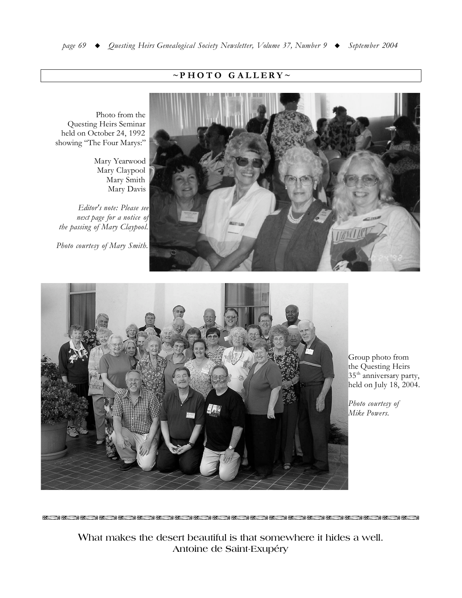# $\sim$ PHOTO GALLERY~

Photo from the Questing Heirs Seminar held on October 24, 1992 showing "The Four Marys:"

> Mary Yearwood Mary Claypool Mary Smith Mary Davis

Editor's note: Please see next page for a notice of the passing of Mary Claypool.

Photo courtesy of Mary Smith.

**RESERVE BEEN BEEN** 

**BAKE** 

不明

不明的





Group photo from the Questing Heirs 35<sup>th</sup> anniversary party, held on July 18, 2004.

Photo courtesy of Mike Powers.

What makes the desert beautiful is that somewhere it hides a well. Antoine de Saint-Exupéry

 $k = 30$   $k = 30$   $k = 30$   $k = 30$   $k = 30$   $k = 30$   $k = 30$   $k = 30$   $k = 30$   $k = 30$   $k = 30$   $k = 30$   $k = 30$   $k = 30$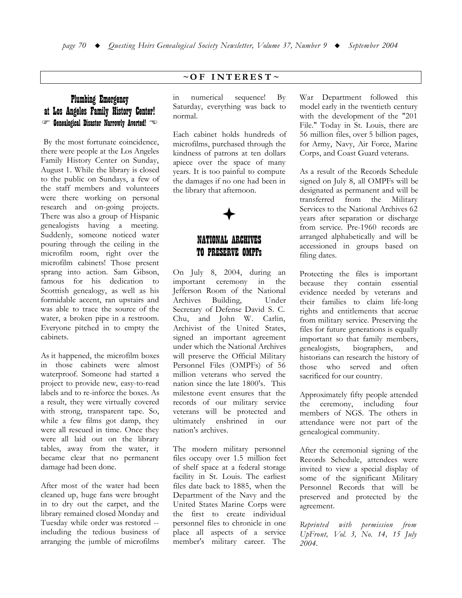# **Plumbing Emergency** at Los Angeles Family History Center! Genealogical Disaster Narrowly Averted!

By the most fortunate coincidence, there were people at the Los Angeles Family History Center on Sunday, August 1. While the library is closed to the public on Sundays, a few of the staff members and volunteers were there working on personal research and on-going projects. There was also a group of Hispanic genealogists having a meeting. Suddenly, someone noticed water pouring through the ceiling in the microfilm room, right over the microfilm cabinets! Those present sprang into action. Sam Gibson, famous for his dedication to Scotttish genealogy, as well as his formidable accent, ran upstairs and was able to trace the source of the water, a broken pipe in a restroom. Everyone pitched in to empty the cabinets.

As it happened, the microfilm boxes in those cabinets were almost waterproof. Someone had started a project to provide new, easy-to-read labels and to re-inforce the boxes. As a result, they were virtually covered with strong, transparent tape. So, while a few films got damp, they were all rescued in time. Once they were all laid out on the library tables, away from the water, it became clear that no permanent damage had been done.

After most of the water had been cleaned up, huge fans were brought in to dry out the carpet, and the library remained closed Monday and Tuesday while order was restored -including the tedious business of arranging the jumble of microfilms

# $\sim$  OF INTEREST $\sim$

sequence!  $in$ numerical  $Bv$ Saturday, everything was back to normal.

Each cabinet holds hundreds of microfilms, purchased through the kindness of patrons at ten dollars apiece over the space of many years. It is too painful to compute the damages if no one had been in the library that afternoon.



# NATIONAL ARCHIVES **TO PRESERVE OMPFs**

On July 8, 2004, during an important ceremony in the Jefferson Room of the National Building, Archives Under Secretary of Defense David S. C. Chu, and John W. Carlin, Archivist of the United States, signed an important agreement under which the National Archives will preserve the Official Military Personnel Files (OMPFs) of 56 million veterans who served the nation since the late 1800's. This milestone event ensures that the records of our military service veterans will be protected and ultimately enshrined in our nation's archives.

The modern military personnel files occupy over 1.5 million feet of shelf space at a federal storage facility in St. Louis. The earliest files date back to 1885, when the Department of the Navy and the United States Marine Corps were the first to create individual personnel files to chronicle in one place all aspects of a service member's military career. The

War Department followed this model early in the twentieth century with the development of the "201 File." Today in St. Louis, there are 56 million files, over 5 billion pages, for Army, Navy, Air Force, Marine Corps, and Coast Guard veterans.

As a result of the Records Schedule signed on July 8, all OMPFs will be designated as permanent and will be transferred from the Military Services to the National Archives 62 years after separation or discharge from service. Pre-1960 records are arranged alphabetically and will be accessioned in groups based on filing dates.

Protecting the files is important because they contain essential evidence needed by veterans and their families to claim life-long rights and entitlements that accrue from military service. Preserving the files for future generations is equally important so that family members, genealogists, biographers, and historians can research the history of those who served and often sacrificed for our country.

Approximately fifty people attended the ceremony, including four members of NGS. The others in attendance were not part of the genealogical community.

After the ceremonial signing of the Records Schedule, attendees were invited to view a special display of some of the significant Military Personnel Records that will be preserved and protected by the agreement.

Reprinted with permission from UpFront, Vol. 3, No. 14, 15 July 2004.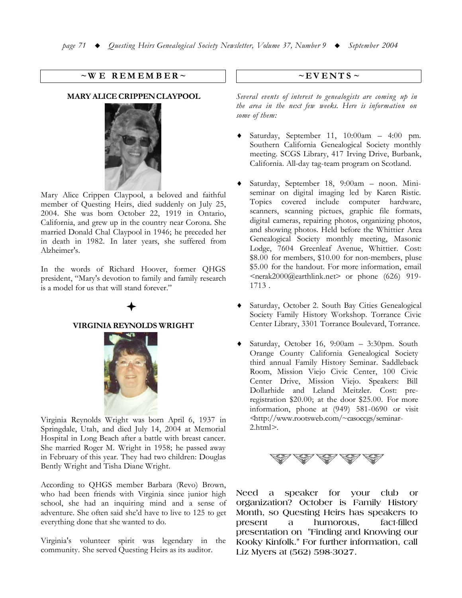### $\sim$ WE REMEMBER $\sim$

# **MARY ALICE CRIPPEN CLAYPOOL**



Mary Alice Crippen Claypool, a beloved and faithful member of Questing Heirs, died suddenly on July 25, 2004. She was born October 22, 1919 in Ontario, California, and grew up in the country near Corona. She married Donald Chal Claypool in 1946; he preceded her in death in 1982. In later years, she suffered from Alzheimer's.

In the words of Richard Hoover, former QHGS president, "Mary's devotion to family and family research is a model for us that will stand forever."

## **VIRGINIA REYNOLDS WRIGHT**



Virginia Reynolds Wright was born April 6, 1937 in Springdale, Utah, and died July 14, 2004 at Memorial Hospital in Long Beach after a battle with breast cancer. She married Roger M. Wright in 1958; he passed away in February of this year. They had two children: Douglas Bently Wright and Tisha Diane Wright.

According to QHGS member Barbara (Revo) Brown, who had been friends with Virginia since junior high school, she had an inquiring mind and a sense of adventure. She often said she'd have to live to 125 to get everything done that she wanted to do.

Virginia's volunteer spirit was legendary in the community. She served Ouesting Heirs as its auditor.

### $\sim$ EVENTS  $\sim$

Several events of interest to genealogists are coming up in the area in the next few weeks. Here is information on some of them:

- Saturday, September 11, 10:00am 4:00 pm. Southern California Genealogical Society monthly meeting. SCGS Library, 417 Irving Drive, Burbank, California. All-day tag-team program on Scotland.
- Saturday, September 18, 9:00am noon. Miniseminar on digital imaging led by Karen Ristic. Topics covered include computer hardware, scanners, scanning pictues, graphic file formats, digital cameras, repairing photos, organizing photos, and showing photos. Held before the Whittier Area Genealogical Society monthly meeting, Masonic Lodge, 7604 Greenleaf Avenue, Whittier. Cost: \$8.00 for members, \$10.00 for non-members, pluse \$5.00 for the handout. For more information, email <nerak2000@earthlink.net> or phone (626) 919-1713.
- Saturday, October 2. South Bay Cities Genealogical Society Family History Workshop. Torrance Civic Center Library, 3301 Torrance Boulevard, Torrance.
- Saturday, October 16, 9:00am 3:30pm. South Orange County California Genealogical Society third annual Family History Seminar. Saddleback Room, Mission Viejo Civic Center, 100 Civic Center Drive, Mission Viejo. Speakers: Bill Dollarhide and Leland Meitzler. Cost: preregistration \$20.00; at the door \$25.00. For more information, phone at (949) 581-0690 or visit <http://www.rootsweb.com/~casoccgs/seminar- $2.html$



Need a speaker for your club or organization? October is Family History Month, so Questing Heirs has speakers to present  $\mathbf{a}$ humorous. fact-filled presentation on "Finding and Knowing our Kooky Kinfolk." For further information, call Liz Myers at (562) 598-3027.